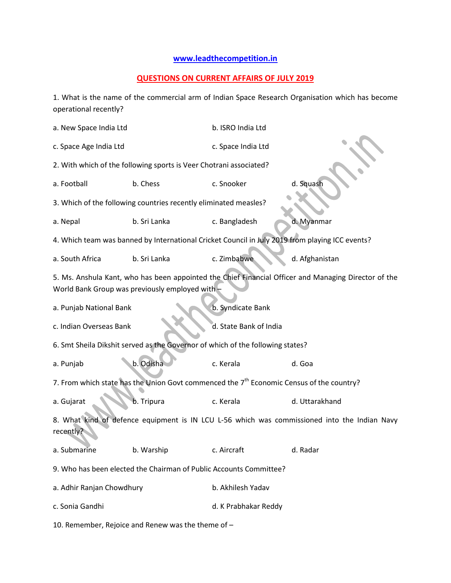## **[www.leadthecompetition.in](http://www.leadthecompetition.in/)**

## **QUESTIONS ON CURRENT AFFAIRS OF JULY 2019**

1. What is the name of the commercial arm of Indian Space Research Organisation which has become operational recently?

| a. New Space India Ltd                                                                                                                                  |              | b. ISRO India Ltd      |                |  |  |  |  |
|---------------------------------------------------------------------------------------------------------------------------------------------------------|--------------|------------------------|----------------|--|--|--|--|
| c. Space Age India Ltd                                                                                                                                  |              | c. Space India Ltd     |                |  |  |  |  |
| 2. With which of the following sports is Veer Chotrani associated?                                                                                      |              |                        |                |  |  |  |  |
| a. Football                                                                                                                                             | b. Chess     | c. Snooker             | d. Squash      |  |  |  |  |
| 3. Which of the following countries recently eliminated measles?                                                                                        |              |                        |                |  |  |  |  |
| a. Nepal                                                                                                                                                | b. Sri Lanka | c. Bangladesh          | d. Myanmar     |  |  |  |  |
| 4. Which team was banned by International Cricket Council in July 2019 from playing ICC events?                                                         |              |                        |                |  |  |  |  |
| a. South Africa                                                                                                                                         | b. Sri Lanka | c. Zimbabwe            | d. Afghanistan |  |  |  |  |
| 5. Ms. Anshula Kant, who has been appointed the Chief Financial Officer and Managing Director of the<br>World Bank Group was previously employed with - |              |                        |                |  |  |  |  |
| a. Punjab National Bank                                                                                                                                 |              | b. Syndicate Bank      |                |  |  |  |  |
| c. Indian Overseas Bank                                                                                                                                 |              | d. State Bank of India |                |  |  |  |  |
| 6. Smt Sheila Dikshit served as the Governor of which of the following states?                                                                          |              |                        |                |  |  |  |  |
| a. Punjab                                                                                                                                               | b. Odisha    | c. Kerala              | d. Goa         |  |  |  |  |
| 7. From which state has the Union Govt commenced the 7 <sup>th</sup> Economic Census of the country?                                                    |              |                        |                |  |  |  |  |
| a. Gujarat                                                                                                                                              | b. Tripura   | c. Kerala              | d. Uttarakhand |  |  |  |  |
| 8. What kind of defence equipment is IN LCU L-56 which was commissioned into the Indian Navy<br>recently?                                               |              |                        |                |  |  |  |  |
| a. Submarine                                                                                                                                            | b. Warship   | c. Aircraft            | d. Radar       |  |  |  |  |
| 9. Who has been elected the Chairman of Public Accounts Committee?                                                                                      |              |                        |                |  |  |  |  |
| a. Adhir Ranjan Chowdhury                                                                                                                               |              | b. Akhilesh Yadav      |                |  |  |  |  |
| c. Sonia Gandhi                                                                                                                                         |              | d. K Prabhakar Reddy   |                |  |  |  |  |
|                                                                                                                                                         |              |                        |                |  |  |  |  |

10. Remember, Rejoice and Renew was the theme of –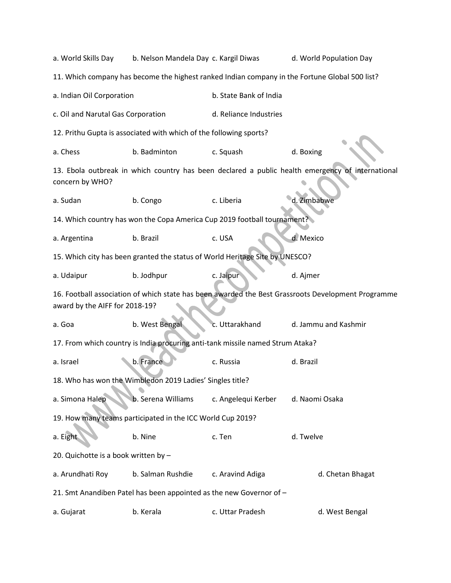| a. World Skills Day                                                                                                                  | b. Nelson Mandela Day c. Kargil Diwas                                          |                        | d. World Population Day                                                                        |  |  |  |  |
|--------------------------------------------------------------------------------------------------------------------------------------|--------------------------------------------------------------------------------|------------------------|------------------------------------------------------------------------------------------------|--|--|--|--|
|                                                                                                                                      |                                                                                |                        | 11. Which company has become the highest ranked Indian company in the Fortune Global 500 list? |  |  |  |  |
| a. Indian Oil Corporation                                                                                                            |                                                                                | b. State Bank of India |                                                                                                |  |  |  |  |
| c. Oil and Narutal Gas Corporation                                                                                                   |                                                                                | d. Reliance Industries |                                                                                                |  |  |  |  |
| 12. Prithu Gupta is associated with which of the following sports?                                                                   |                                                                                |                        |                                                                                                |  |  |  |  |
| a. Chess                                                                                                                             | b. Badminton                                                                   | c. Squash              | d. Boxing                                                                                      |  |  |  |  |
| 13. Ebola outbreak in which country has been declared a public health emergency of international<br>concern by WHO?                  |                                                                                |                        |                                                                                                |  |  |  |  |
| a. Sudan                                                                                                                             | b. Congo                                                                       | c. Liberia             | d. Zimbabwe                                                                                    |  |  |  |  |
| 14. Which country has won the Copa America Cup 2019 football tournament?                                                             |                                                                                |                        |                                                                                                |  |  |  |  |
| a. Argentina                                                                                                                         | b. Brazil                                                                      | c. USA                 | d. Mexico                                                                                      |  |  |  |  |
|                                                                                                                                      | 15. Which city has been granted the status of World Heritage Site by UNESCO?   |                        |                                                                                                |  |  |  |  |
| a. Udaipur                                                                                                                           | b. Jodhpur                                                                     | c. Jaipur              | d. Ajmer                                                                                       |  |  |  |  |
| 16. Football association of which state has been awarded the Best Grassroots Development Programme<br>award by the AIFF for 2018-19? |                                                                                |                        |                                                                                                |  |  |  |  |
| a. Goa                                                                                                                               | b. West Bengal                                                                 | c. Uttarakhand         | d. Jammu and Kashmir                                                                           |  |  |  |  |
|                                                                                                                                      | 17. From which country is India procuring anti-tank missile named Strum Ataka? |                        |                                                                                                |  |  |  |  |
| a. Israel                                                                                                                            | b. France                                                                      | c. Russia              | d. Brazil                                                                                      |  |  |  |  |
|                                                                                                                                      | 18. Who has won the Wimbledon 2019 Ladies' Singles title?                      |                        |                                                                                                |  |  |  |  |
| a. Simona Halep                                                                                                                      | b. Serena Williams                                                             | c. Angelequi Kerber    | d. Naomi Osaka                                                                                 |  |  |  |  |
| 19. How many teams participated in the ICC World Cup 2019?                                                                           |                                                                                |                        |                                                                                                |  |  |  |  |
| a. Eight                                                                                                                             | b. Nine                                                                        | c. Ten                 | d. Twelve                                                                                      |  |  |  |  |
| 20. Quichotte is a book written by -                                                                                                 |                                                                                |                        |                                                                                                |  |  |  |  |
| a. Arundhati Roy                                                                                                                     | b. Salman Rushdie                                                              | c. Aravind Adiga       | d. Chetan Bhagat                                                                               |  |  |  |  |
| 21. Smt Anandiben Patel has been appointed as the new Governor of -                                                                  |                                                                                |                        |                                                                                                |  |  |  |  |
| a. Gujarat                                                                                                                           | b. Kerala                                                                      | c. Uttar Pradesh       | d. West Bengal                                                                                 |  |  |  |  |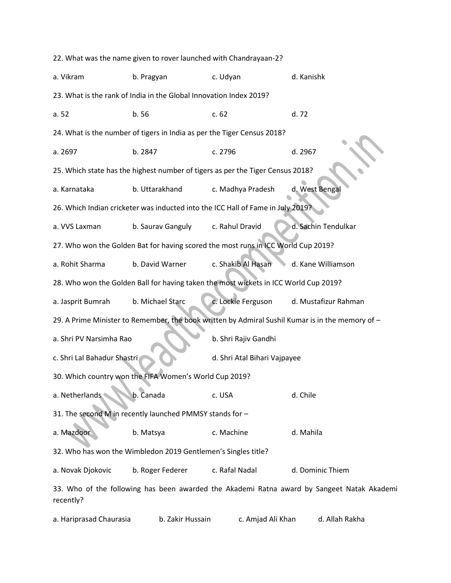22. What was the name given to rover launched with Chandrayaan-2? a. Vikram b. Pragyan c. Udyan d. Kanishk 23. What is the rank of India in the Global Innovation Index 2019? a. 52 b. 56 c. 62 d. 72 24. What is the number of tigers in India as per the Tiger Census 2018? a. 2697 b. 2847 c. 2796 d. 2967 25. Which state has the highest number of tigers as per the Tiger Census 2018? a. Karnataka b. Uttarakhand c. Madhya Pradesh d. West Bengal 26. Which Indian cricketer was inducted into the ICC Hall of Fame in July 2019? a. VVS Laxman b. Saurav Ganguly c. Rahul Dravid d. Sachin Tendulkar 27. Who won the Golden Bat for having scored the most runs in ICC World Cup 2019? a. Rohit Sharma b. David Warner c. Shakib Al Hasan d. Kane Williamson 28. Who won the Golden Ball for having taken the most wickets in ICC World Cup 2019? a. Jasprit Bumrah b. Michael Starc c. Lockie Ferguson d. Mustafizur Rahman 29. A Prime Minister to Remember, the book written by Admiral Sushil Kumar is in the memory of – a. Shri PV Narsimha Rao b. Shri Rajiv Gandhi c. Shri Lal Bahadur Shastri d. Shri Atal Bihari Vajpayee 30. Which country won the FIFA Women's World Cup 2019? a. Netherlands b. Canada c. USA d. Chile 31. The second M in recently launched PMMSY stands for – a. Mazdoor b. Matsya c. Machine d. Mahila 32. Who has won the Wimbledon 2019 Gentlemen's Singles title? a. Novak Djokovic b. Roger Federer c. Rafal Nadal d. Dominic Thiem 33. Who of the following has been awarded the Akademi Ratna award by Sangeet Natak Akademi recently?

a. Hariprasad Chaurasia b. Zakir Hussain c. Amjad Ali Khan d. Allah Rakha